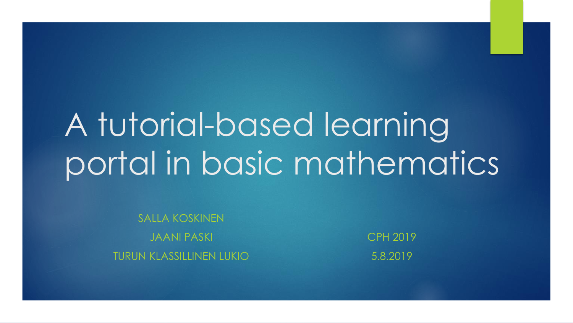# A tutorial-based learning portal in basic mathematics

SALLA KOSKINEN JAANI PASKI TURUN KLASSILLINEN LUKIO

CPH 2019 5.8.2019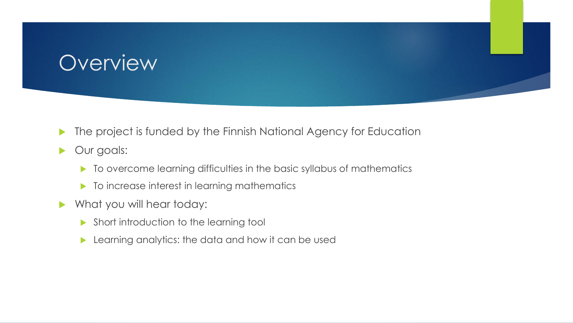#### **Overview**

- **The project is funded by the Finnish National Agency for Education**
- **Dur goals:** 
	- $\blacktriangleright$  To overcome learning difficulties in the basic syllabus of mathematics
	- $\blacktriangleright$  To increase interest in learning mathematics
- What you will hear today:
	- **Short introduction to the learning tool**
	- **Learning analytics: the data and how it can be used**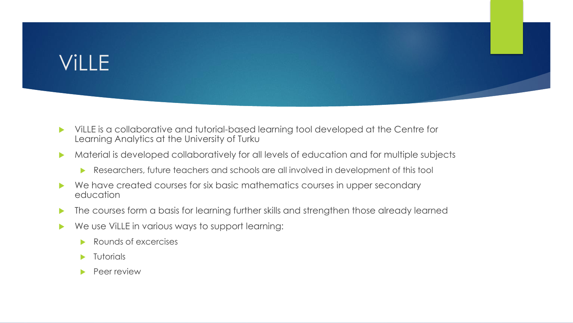# ViLLE

- ViLLE is a collaborative and tutorial-based learning tool developed at the Centre for Learning Analytics at the University of Turku
- **Material is developed collaboratively for all levels of education and for multiple subjects** 
	- Researchers, future teachers and schools are all involved in development of this tool
- ▶ We have created courses for six basic mathematics courses in upper secondary education
- **The courses form a basis for learning further skills and strengthen those already learned**
- We use ViLLE in various ways to support learning:
	- Rounds of excercises
	- $\blacktriangleright$  Tutorials
	- Peer review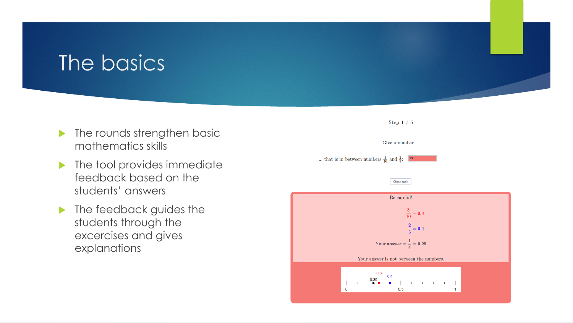#### The basics

- $\blacktriangleright$  The rounds strengthen basic mathematics skills
- $\blacktriangleright$  The tool provides immediate feedback based on the students' answers
- **In** The feedback guides the students through the excercises and gives explanations

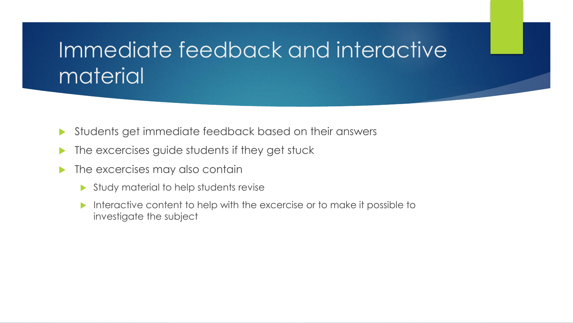# Immediate feedback and interactive material

- Students get immediate feedback based on their answers
- **The excercises guide students if they get stuck**
- $\blacktriangleright$  The excercises may also contain
	- Study material to help students revise
	- Interactive content to help with the excercise or to make it possible to investigate the subject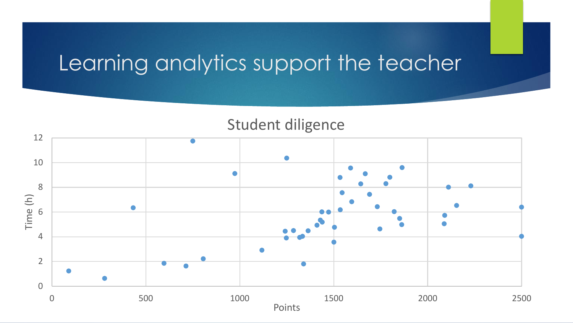# Learning analytics support the teacher

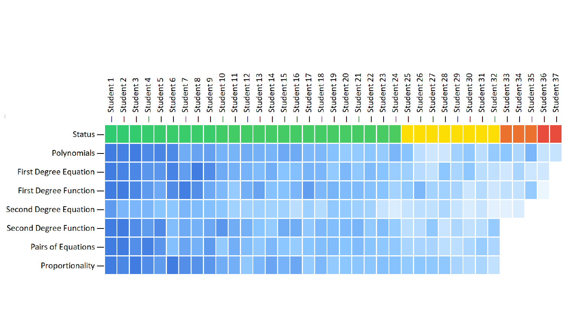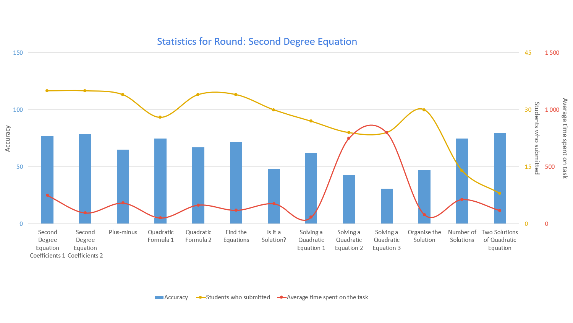#### **Statistics for Round: Second Degree Equation**

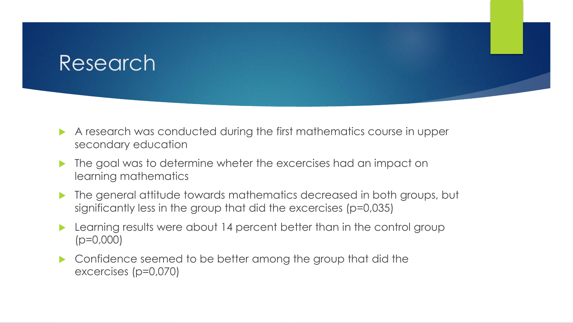#### Research

- A research was conducted during the first mathematics course in upper secondary education
- $\blacktriangleright$  The goal was to determine wheter the excercises had an impact on learning mathematics
- The general attitude towards mathematics decreased in both groups, but significantly less in the group that did the excercises (p=0,035)
- **Learning results were about 14 percent better than in the control group** (p=0,000)
- ▶ Confidence seemed to be better among the group that did the excercises (p=0,070)